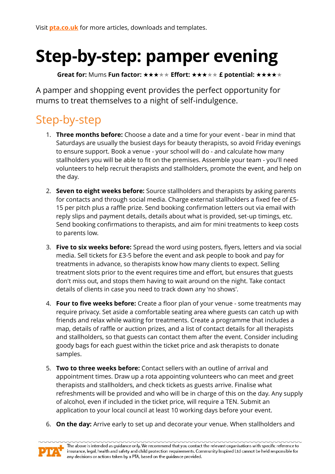## **Step-by-step: pamper evening**

**Great for:** Mums **Fun factor:** ★★★★★ **Effort:** ★★★★★ **£ potential:** ★★★★★

A pamper and shopping event provides the perfect opportunity for mums to treat themselves to a night of self-indulgence.

## Step-by-step

- 1. **Three months before:** Choose a date and a time for your event bear in mind that Saturdays are usually the busiest days for beauty therapists, so avoid Friday evenings to ensure support. Book a venue - your school will do - and calculate how many stallholders you will be able to fit on the premises. Assemble your team - you'll need volunteers to help recruit therapists and stallholders, promote the event, and help on the day.
- 2. **Seven to eight weeks before:** Source stallholders and therapists by asking parents for contacts and through social media. Charge external stallholders a fixed fee of £5- 15 per pitch plus a raffle prize. Send booking confirmation letters out via email with reply slips and payment details, details about what is provided, set-up timings, etc. Send booking confirmations to therapists, and aim for mini treatments to keep costs to parents low.
- 3. **Five to six weeks before:** Spread the word using posters, flyers, letters and via social media. Sell tickets for £3-5 before the event and ask people to book and pay for treatments in advance, so therapists know how many clients to expect. Selling treatment slots prior to the event requires time and effort, but ensures that guests don't miss out, and stops them having to wait around on the night. Take contact details of clients in case you need to track down any 'no shows'.
- 4. **Four to five weeks before:** Create a floor plan of your venue some treatments may require privacy. Set aside a comfortable seating area where guests can catch up with friends and relax while waiting for treatments. Create a programme that includes a map, details of raffle or auction prizes, and a list of contact details for all therapists and stallholders, so that guests can contact them after the event. Consider including goody bags for each guest within the ticket price and ask therapists to donate samples.
- 5. **Two to three weeks before:** Contact sellers with an outline of arrival and appointment times. Draw up a rota appointing volunteers who can meet and greet therapists and stallholders, and check tickets as guests arrive. Finalise what refreshments will be provided and who will be in charge of this on the day. Any supply of alcohol, even if included in the ticket price, will require a TEN. Submit an application to your local council at least 10 working days before your event.
- 6. **On the day:** Arrive early to set up and decorate your venue. When stallholders and